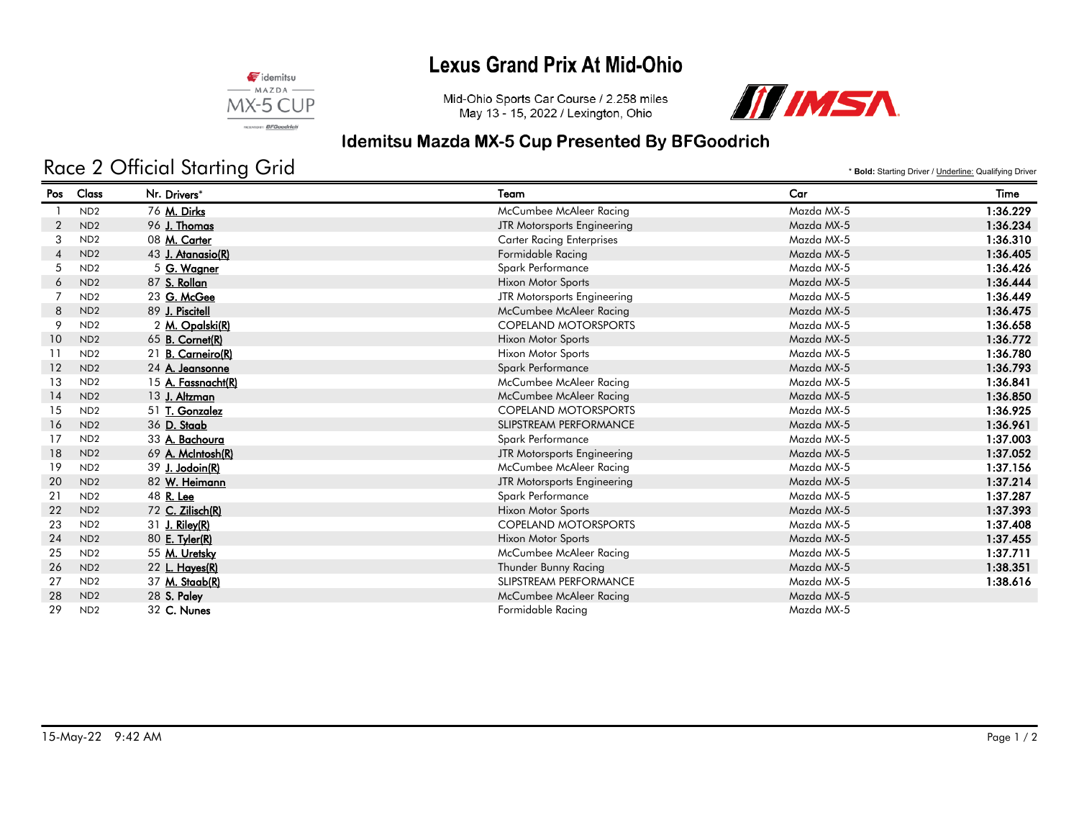### **Lexus Grand Prix At Mid-Ohio**



Mid-Ohio Sports Car Course / 2.258 miles May 13 - 15, 2022 / Lexington, Ohio



# Idemitsu Mazda MX-5 Cup Presented By BFGoodrich

# Race 2 Official Starting Grid

\* **Bold:** Starting Driver / Underline: Qualifying Driver

| Pos            | Class           | Nr. Drivers*           | Team                             | Car        | Time     |
|----------------|-----------------|------------------------|----------------------------------|------------|----------|
|                | ND <sub>2</sub> | 76 M. Dirks            | McCumbee McAleer Racing          | Mazda MX-5 | 1:36.229 |
| 2              | ND <sub>2</sub> | 96 J. Thomas           | JTR Motorsports Engineering      | Mazda MX-5 | 1:36.234 |
| 3              | ND <sub>2</sub> | 08 M. Carter           | <b>Carter Racing Enterprises</b> | Mazda MX-5 | 1:36.310 |
| $\overline{4}$ | ND <sub>2</sub> | 43 J. Atanasio(R)      | Formidable Racing                | Mazda MX-5 | 1:36.405 |
| 5              | ND <sub>2</sub> | 5 G. Wagner            | Spark Performance                | Mazda MX-5 | 1:36.426 |
| 6              | ND <sub>2</sub> | 87 S. Rollan           | Hixon Motor Sports               | Mazda MX-5 | 1:36.444 |
|                | ND <sub>2</sub> | 23 G. McGee            | JTR Motorsports Engineering      | Mazda MX-5 | 1:36.449 |
| 8              | ND <sub>2</sub> | 89 J. Piscitell        | <b>McCumbee McAleer Racing</b>   | Mazda MX-5 | 1:36.475 |
| 9              | ND <sub>2</sub> | 2 M. Opalski(R)        | <b>COPELAND MOTORSPORTS</b>      | Mazda MX-5 | 1:36.658 |
| 10             | ND <sub>2</sub> | 65 <b>B. Cornet(R)</b> | <b>Hixon Motor Sports</b>        | Mazda MX-5 | 1:36.772 |
| -11            | ND <sub>2</sub> | 21 B. Carneiro(R)      | Hixon Motor Sports               | Mazda MX-5 | 1:36.780 |
| 12             | ND <sub>2</sub> | 24 A. Jeansonne        | Spark Performance                | Mazda MX-5 | 1:36.793 |
| 13             | ND <sub>2</sub> | 15 A. Fassnacht(R)     | McCumbee McAleer Racing          | Mazda MX-5 | 1:36.841 |
| 14             | ND <sub>2</sub> | 13 J. Altzman          | <b>McCumbee McAleer Racing</b>   | Mazda MX-5 | 1:36.850 |
| 15             | ND <sub>2</sub> | 51 T. Gonzalez         | <b>COPELAND MOTORSPORTS</b>      | Mazda MX-5 | 1:36.925 |
| 16             | ND <sub>2</sub> | 36 D. Staab            | SLIPSTREAM PERFORMANCE           | Mazda MX-5 | 1:36.961 |
| 17             | ND <sub>2</sub> | 33 A. Bachoura         | Spark Performance                | Mazda MX-5 | 1:37.003 |
| 18             | ND <sub>2</sub> | 69 A. McIntosh(R)      | JTR Motorsports Engineering      | Mazda MX-5 | 1:37.052 |
| 19             | ND <sub>2</sub> | 39 J. Jodoin(R)        | McCumbee McAleer Racing          | Mazda MX-5 | 1:37.156 |
| 20             | ND <sub>2</sub> | 82 W. Heimann          | JTR Motorsports Engineering      | Mazda MX-5 | 1:37.214 |
| 21             | ND <sub>2</sub> | 48 R. Lee              | Spark Performance                | Mazda MX-5 | 1:37.287 |
| 22             | ND <sub>2</sub> | 72 C. Zilisch(R)       | <b>Hixon Motor Sports</b>        | Mazda MX-5 | 1:37.393 |
| 23             | ND <sub>2</sub> | $31$ J. Riley(R)       | <b>COPELAND MOTORSPORTS</b>      | Mazda MX-5 | 1:37.408 |
| 24             | ND <sub>2</sub> | 80 E. Tyler(R)         | <b>Hixon Motor Sports</b>        | Mazda MX-5 | 1:37.455 |
| 25             | ND <sub>2</sub> | 55 M. Uretsky          | McCumbee McAleer Racing          | Mazda MX-5 | 1:37.711 |
| 26             | ND <sub>2</sub> | 22 L. Hayes(R)         | Thunder Bunny Racing             | Mazda MX-5 | 1:38.351 |
| 27             | ND <sub>2</sub> | 37 M. Staab(R)         | SLIPSTREAM PERFORMANCE           | Mazda MX-5 | 1:38.616 |
| 28             | ND <sub>2</sub> | 28 S. Paley            | McCumbee McAleer Racing          | Mazda MX-5 |          |
| 29             | ND <sub>2</sub> | 32 C. Nunes            | Formidable Racing                | Mazda MX-5 |          |